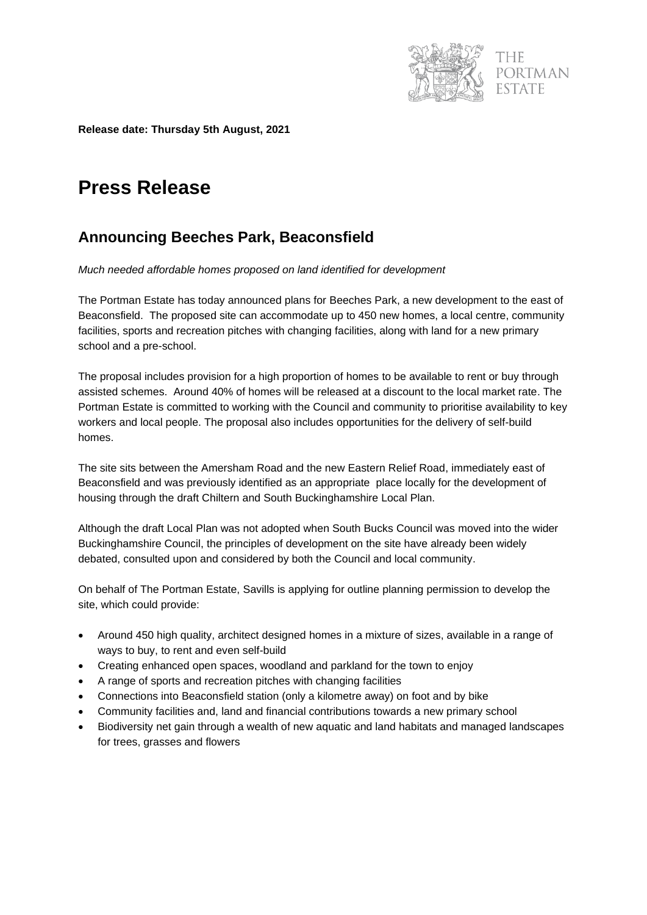

PORTMAN

**Release date: Thursday 5th August, 2021**

## **Press Release**

## **Announcing Beeches Park, Beaconsfield**

*Much needed affordable homes proposed on land identified for development* 

The Portman Estate has today announced plans for Beeches Park, a new development to the east of Beaconsfield. The proposed site can accommodate up to 450 new homes, a local centre, community facilities, sports and recreation pitches with changing facilities, along with land for a new primary school and a pre-school.

The proposal includes provision for a high proportion of homes to be available to rent or buy through assisted schemes. Around 40% of homes will be released at a discount to the local market rate. The Portman Estate is committed to working with the Council and community to prioritise availability to key workers and local people. The proposal also includes opportunities for the delivery of self-build homes.

The site sits between the Amersham Road and the new Eastern Relief Road, immediately east of Beaconsfield and was previously identified as an appropriate place locally for the development of housing through the draft Chiltern and South Buckinghamshire Local Plan.

Although the draft Local Plan was not adopted when South Bucks Council was moved into the wider Buckinghamshire Council, the principles of development on the site have already been widely debated, consulted upon and considered by both the Council and local community.

On behalf of The Portman Estate, Savills is applying for outline planning permission to develop the site, which could provide:

- Around 450 high quality, architect designed homes in a mixture of sizes, available in a range of ways to buy, to rent and even self-build
- Creating enhanced open spaces, woodland and parkland for the town to enjoy
- A range of sports and recreation pitches with changing facilities
- Connections into Beaconsfield station (only a kilometre away) on foot and by bike
- Community facilities and, land and financial contributions towards a new primary school
- Biodiversity net gain through a wealth of new aquatic and land habitats and managed landscapes for trees, grasses and flowers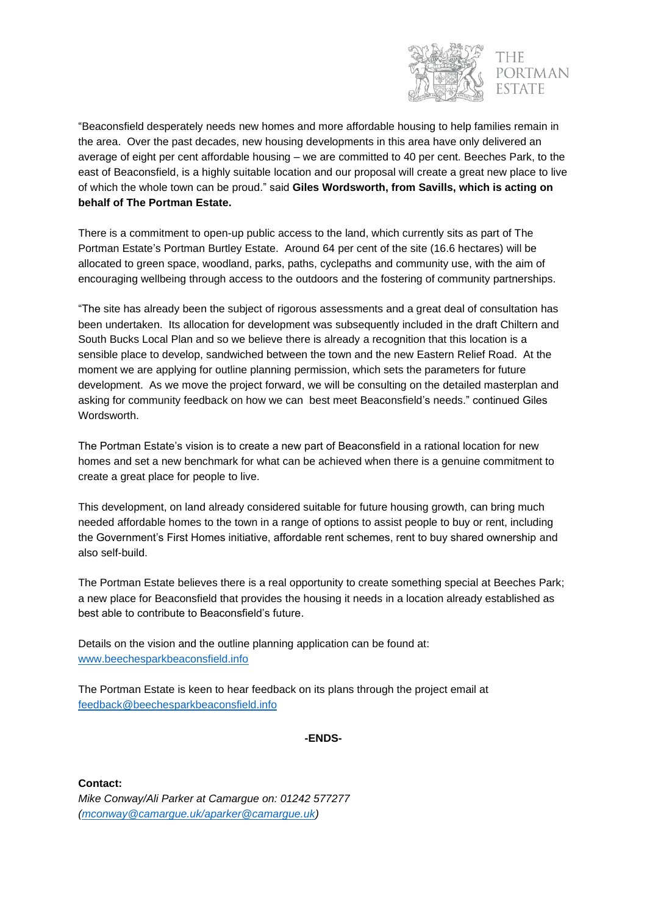

PORTMAN

"Beaconsfield desperately needs new homes and more affordable housing to help families remain in the area. Over the past decades, new housing developments in this area have only delivered an average of eight per cent affordable housing – we are committed to 40 per cent. Beeches Park, to the east of Beaconsfield, is a highly suitable location and our proposal will create a great new place to live of which the whole town can be proud." said **Giles Wordsworth, from Savills, which is acting on behalf of The Portman Estate.** 

There is a commitment to open-up public access to the land, which currently sits as part of The Portman Estate's Portman Burtley Estate. Around 64 per cent of the site (16.6 hectares) will be allocated to green space, woodland, parks, paths, cyclepaths and community use, with the aim of encouraging wellbeing through access to the outdoors and the fostering of community partnerships.

"The site has already been the subject of rigorous assessments and a great deal of consultation has been undertaken. Its allocation for development was subsequently included in the draft Chiltern and South Bucks Local Plan and so we believe there is already a recognition that this location is a sensible place to develop, sandwiched between the town and the new Eastern Relief Road. At the moment we are applying for outline planning permission, which sets the parameters for future development. As we move the project forward, we will be consulting on the detailed masterplan and asking for community feedback on how we can best meet Beaconsfield's needs." continued Giles **Wordsworth** 

The Portman Estate's vision is to create a new part of Beaconsfield in a rational location for new homes and set a new benchmark for what can be achieved when there is a genuine commitment to create a great place for people to live.

This development, on land already considered suitable for future housing growth, can bring much needed affordable homes to the town in a range of options to assist people to buy or rent, including the Government's First Homes initiative, affordable rent schemes, rent to buy shared ownership and also self-build.

The Portman Estate believes there is a real opportunity to create something special at Beeches Park; a new place for Beaconsfield that provides the housing it needs in a location already established as best able to contribute to Beaconsfield's future.

Details on the vision and the outline planning application can be found at: [www.beechesparkbeaconsfield.info](http://www.beechesparkbeaconsfield.info/)

The Portman Estate is keen to hear feedback on its plans through the project email at [feedback@beechesparkbeaconsfield.info](mailto:feedback@beechesparkbeaconsfield.info)

**-ENDS-**

**Contact:** *Mike Conway/Ali Parker at Camargue on: 01242 577277 [\(mconway@camargue.uk/aparker@camargue.uk\)](mailto:mconway@camargue.uk/aparker@camargue.uk)*